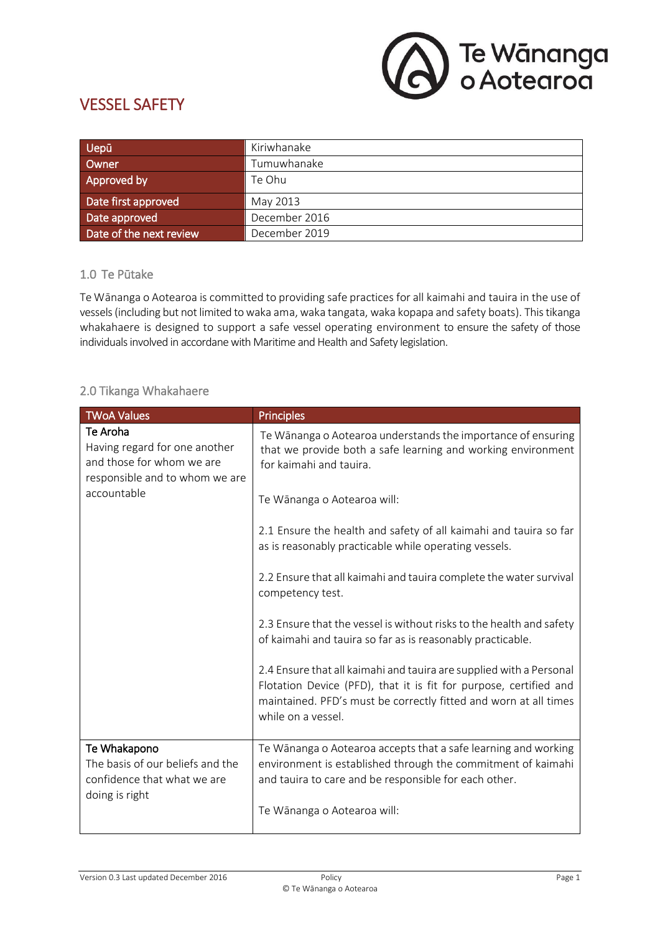

# VESSEL SAFETY

| <b>Uepū</b>             | Kiriwhanake   |
|-------------------------|---------------|
| Owner                   | Tumuwhanake   |
| Approved by             | Te Ohu        |
| Date first approved     | May 2013      |
| Date approved           | December 2016 |
| Date of the next review | December 2019 |

### 1.0 Te Pūtake

Te Wānanga o Aotearoa is committed to providing safe practices for all kaimahi and tauira in the use of vessels (including but not limited to waka ama, waka tangata, waka kopapa and safety boats). This tikanga whakahaere is designed to support a safe vessel operating environment to ensure the safety of those individuals involved in accordane with Maritime and Health and Safety legislation.

# 2.0 Tikanga Whakahaere

| <b>TWoA Values</b>                                                                                                      | <b>Principles</b>                                                                                                                                                                                                                  |
|-------------------------------------------------------------------------------------------------------------------------|------------------------------------------------------------------------------------------------------------------------------------------------------------------------------------------------------------------------------------|
| Te Aroha<br>Having regard for one another<br>and those for whom we are<br>responsible and to whom we are<br>accountable | Te Wānanga o Aotearoa understands the importance of ensuring<br>that we provide both a safe learning and working environment<br>for kaimahi and tauira.                                                                            |
|                                                                                                                         | Te Wānanga o Aotearoa will:                                                                                                                                                                                                        |
|                                                                                                                         | 2.1 Ensure the health and safety of all kaimahi and tauira so far<br>as is reasonably practicable while operating vessels.                                                                                                         |
|                                                                                                                         | 2.2 Ensure that all kaimahi and tauira complete the water survival<br>competency test.                                                                                                                                             |
|                                                                                                                         | 2.3 Ensure that the vessel is without risks to the health and safety<br>of kaimahi and tauira so far as is reasonably practicable.                                                                                                 |
|                                                                                                                         | 2.4 Ensure that all kaimahi and tauira are supplied with a Personal<br>Flotation Device (PFD), that it is fit for purpose, certified and<br>maintained. PFD's must be correctly fitted and worn at all times<br>while on a vessel. |
| Te Whakapono<br>The basis of our beliefs and the<br>confidence that what we are<br>doing is right                       | Te Wānanga o Aotearoa accepts that a safe learning and working<br>environment is established through the commitment of kaimahi<br>and tauira to care and be responsible for each other.                                            |
|                                                                                                                         | Te Wānanga o Aotearoa will:                                                                                                                                                                                                        |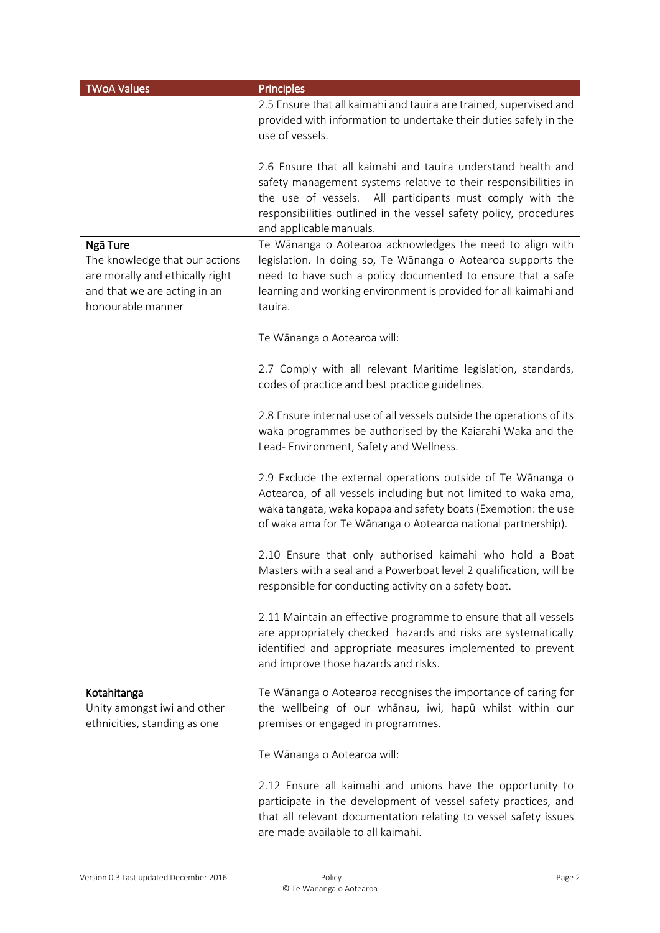| <b>TWoA Values</b>                                                                                                                 | <b>Principles</b>                                                                                                                                                                                                                                                                            |
|------------------------------------------------------------------------------------------------------------------------------------|----------------------------------------------------------------------------------------------------------------------------------------------------------------------------------------------------------------------------------------------------------------------------------------------|
|                                                                                                                                    | 2.5 Ensure that all kaimahi and tauira are trained, supervised and<br>provided with information to undertake their duties safely in the<br>use of vessels.                                                                                                                                   |
|                                                                                                                                    | 2.6 Ensure that all kaimahi and tauira understand health and<br>safety management systems relative to their responsibilities in<br>the use of vessels. All participants must comply with the<br>responsibilities outlined in the vessel safety policy, procedures<br>and applicable manuals. |
| Ngā Ture<br>The knowledge that our actions<br>are morally and ethically right<br>and that we are acting in an<br>honourable manner | Te Wānanga o Aotearoa acknowledges the need to align with<br>legislation. In doing so, Te Wānanga o Aotearoa supports the<br>need to have such a policy documented to ensure that a safe<br>learning and working environment is provided for all kaimahi and<br>tauira.                      |
|                                                                                                                                    | Te Wānanga o Aotearoa will:                                                                                                                                                                                                                                                                  |
|                                                                                                                                    | 2.7 Comply with all relevant Maritime legislation, standards,<br>codes of practice and best practice guidelines.                                                                                                                                                                             |
|                                                                                                                                    | 2.8 Ensure internal use of all vessels outside the operations of its<br>waka programmes be authorised by the Kaiarahi Waka and the<br>Lead- Environment, Safety and Wellness.                                                                                                                |
|                                                                                                                                    | 2.9 Exclude the external operations outside of Te Wānanga o<br>Aotearoa, of all vessels including but not limited to waka ama,<br>waka tangata, waka kopapa and safety boats (Exemption: the use<br>of waka ama for Te Wānanga o Aotearoa national partnership).                             |
|                                                                                                                                    | 2.10 Ensure that only authorised kaimahi who hold a Boat<br>Masters with a seal and a Powerboat level 2 qualification, will be<br>responsible for conducting activity on a safety boat.                                                                                                      |
|                                                                                                                                    | 2.11 Maintain an effective programme to ensure that all vessels<br>are appropriately checked hazards and risks are systematically<br>identified and appropriate measures implemented to prevent<br>and improve those hazards and risks.                                                      |
| Kotahitanga<br>Unity amongst iwi and other<br>ethnicities, standing as one                                                         | Te Wānanga o Aotearoa recognises the importance of caring for<br>the wellbeing of our whānau, iwi, hapū whilst within our<br>premises or engaged in programmes.                                                                                                                              |
|                                                                                                                                    | Te Wānanga o Aotearoa will:                                                                                                                                                                                                                                                                  |
|                                                                                                                                    | 2.12 Ensure all kaimahi and unions have the opportunity to<br>participate in the development of vessel safety practices, and<br>that all relevant documentation relating to vessel safety issues<br>are made available to all kaimahi.                                                       |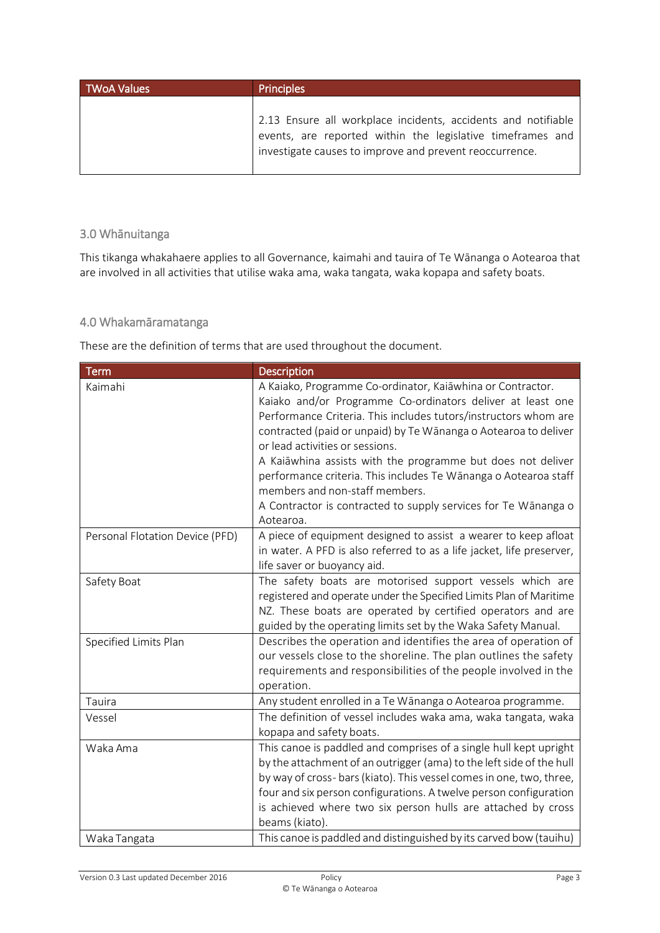| <b>TWoA Values</b> | <b>Principles</b>                                                                                                                                                                      |
|--------------------|----------------------------------------------------------------------------------------------------------------------------------------------------------------------------------------|
|                    | 2.13 Ensure all workplace incidents, accidents and notifiable<br>events, are reported within the legislative timeframes and<br>investigate causes to improve and prevent reoccurrence. |

# 3.0 Whānuitanga

This tikanga whakahaere applies to all Governance, kaimahi and tauira of Te Wānanga o Aotearoa that are involved in all activities that utilise waka ama, waka tangata, waka kopapa and safety boats.

#### 4.0 Whakamāramatanga

These are the definition of terms that are used throughout the document.

| <b>Term</b>                     | Description                                                                                                                                                                                                                                                                                                                                                                                                                                                                                                                             |
|---------------------------------|-----------------------------------------------------------------------------------------------------------------------------------------------------------------------------------------------------------------------------------------------------------------------------------------------------------------------------------------------------------------------------------------------------------------------------------------------------------------------------------------------------------------------------------------|
| Kaimahi                         | A Kaiako, Programme Co-ordinator, Kaiāwhina or Contractor.<br>Kaiako and/or Programme Co-ordinators deliver at least one<br>Performance Criteria. This includes tutors/instructors whom are<br>contracted (paid or unpaid) by Te Wānanga o Aotearoa to deliver<br>or lead activities or sessions.<br>A Kaiāwhina assists with the programme but does not deliver<br>performance criteria. This includes Te Wānanga o Aotearoa staff<br>members and non-staff members.<br>A Contractor is contracted to supply services for Te Wānanga o |
| Personal Flotation Device (PFD) | Aotearoa.<br>A piece of equipment designed to assist a wearer to keep afloat                                                                                                                                                                                                                                                                                                                                                                                                                                                            |
|                                 | in water. A PFD is also referred to as a life jacket, life preserver,<br>life saver or buoyancy aid.                                                                                                                                                                                                                                                                                                                                                                                                                                    |
| Safety Boat                     | The safety boats are motorised support vessels which are<br>registered and operate under the Specified Limits Plan of Maritime<br>NZ. These boats are operated by certified operators and are<br>guided by the operating limits set by the Waka Safety Manual.                                                                                                                                                                                                                                                                          |
| Specified Limits Plan           | Describes the operation and identifies the area of operation of<br>our vessels close to the shoreline. The plan outlines the safety<br>requirements and responsibilities of the people involved in the<br>operation.                                                                                                                                                                                                                                                                                                                    |
| Tauira                          | Any student enrolled in a Te Wānanga o Aotearoa programme.                                                                                                                                                                                                                                                                                                                                                                                                                                                                              |
| Vessel                          | The definition of vessel includes waka ama, waka tangata, waka<br>kopapa and safety boats.                                                                                                                                                                                                                                                                                                                                                                                                                                              |
| Waka Ama                        | This canoe is paddled and comprises of a single hull kept upright<br>by the attachment of an outrigger (ama) to the left side of the hull<br>by way of cross- bars (kiato). This vessel comes in one, two, three,<br>four and six person configurations. A twelve person configuration<br>is achieved where two six person hulls are attached by cross<br>beams (kiato).                                                                                                                                                                |
| Waka Tangata                    | This canoe is paddled and distinguished by its carved bow (tauihu)                                                                                                                                                                                                                                                                                                                                                                                                                                                                      |